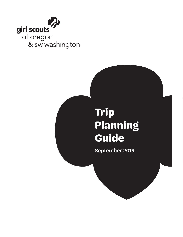

# **Trip Planning Guide**

**September 2019**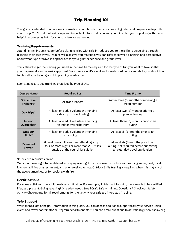# Trip Planning 101

This guide is intended to offer clear information about how to plan a successful, girl-led and progressive trip with your troop. You'll find the basic steps and important info to help you and your girls plan your trip along with many helpful resources as links for you to reference as needed.

#### Training Requirements

Attending training as a leader before planning trips with girls introduces you to the skills to guide girls through planning their own travel. Training will also give you materials you can reference while planning, and perspective about what type of travel is appropriate for your girls' experience and grade level.

Think ahead to get the training you need in the time frame required for the type of trip you want to take so that your paperwork can be easily approved. Your service unit's event and travel coordinator can talk to you about how to plan all your training and trip planning in advance.

Look at page 5 to see trainings organized by type of trip.

| <b>Course Name</b>               | <b>Required For</b>                                                                                                                   | <b>Time Frame</b>                                                                                                |  |
|----------------------------------|---------------------------------------------------------------------------------------------------------------------------------------|------------------------------------------------------------------------------------------------------------------|--|
| <b>Grade Level</b><br>Trainings* | All troop leaders                                                                                                                     | Within three (3) months of receiving a<br>troop number                                                           |  |
| Day Trips*                       | At least one adult volunteer attending<br>a day trip or short outing                                                                  | At least two (2) months prior to a<br>planned outing                                                             |  |
| Indoor<br>Overnights*            | At least one adult volunteer attending<br>an indoor overnight trip**                                                                  | At least three (3) months prior to an<br>outing                                                                  |  |
| Outdoor<br>Skills*               | At least one adult volunteer attending<br>a camping trip                                                                              | At least six (6) months prior to an<br>outing                                                                    |  |
| Extended<br>Travel*              | At least one adult volunteer attending a trip of<br>four or more nights or more than 200 miles<br>outside of the council jurisdiction | At least six (6) months prior to an<br>outing. Not required before submitting<br>an extended travel application. |  |

\*Check pre-requisites online.

\*\*An indoor overnight trip is defined as staying overnight in an enclosed structure with running water, heat, toilets, kitchen facilities or a restaurant, and phone/cell coverage. Outdoor Skills training is required when missing any of the above amenities, or for cooking with fire.

#### **Certifications**

For some activities, one adult needs a certification. For example, if girls want to swim, there needs to be certified lifeguard present. Going kayaking? One adult needs Small Craft Safety training. Questions? Check out Safety Activity Checkpoints for all requirements for the activity your girls are interested in doing.

#### Trip Support

While there's lots of helpful information in this guide, you can access additional support from your service unit's event and travel coordinator or Program department staff. You can email questions to activities@girlscoutsosw.org.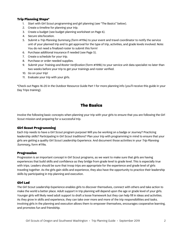#### Trip Planning Steps\*

- 1. Start with Girl Scout programming and girl planning (see "The Basics" below).
- 2. Create a timeline for planning your trip.
- 3. Create a budget (see budget planning worksheet on Page 6).
- 4. Secure site/location.
- 5. Submit a Trip Planning Summary (form #119a) to your event and travel coordinator to notify the service unit of your planned trip and to get approval for the type of trip, activities, and grade levels involved. Note: You do not need a finalized roster to submit this form!
- 6. Purchase additional insurance if needed (see Page 5).
- 7. Create a schedule for your trip.
- 8. Purchase or order needed supplies.
- 9. Submit your Training and Roster Verification (form #199b) to your service unit data specialist no later than two weeks before your trip to get your trainings and roster verified.
- 10. Go on your trip!
- 11. Evaluate your trip with your girls.

\*Check out Pages 16-20 in the Outdoor Resource Guide Part 1 for more planning info (you'll receive this guide in your Day Trips training).

## The Basics

Involve the following basic concepts when planning your trip with your girls to ensure that you are following the Girl Scout mission and preparing for a successful trip.

#### Girl Scout Programming

Each trip needs to have a Girl Scout program purpose! Will you be working on a badge or Journey? Practicing leadership skills? Participating in Girl Scout traditions? Plan your trip with programming in mind to ensure that your girls are getting a quality Girl Scout Leadership Experience. And document those activities in your Trip Planning Summary, form #119a.

#### Progression

Progression is an important concept in Girl Scout programs, as we want to make sure that girls are having experiences that build skills and confidence as they bridge from grade level to grade level. This is especially true with trips. Leaders should be sure that troop trips are appropriate for the experience and grade level of girls traveling together. As the girls gain skills and experience, they also have the opportunity to practice their leadership skills by participating in trip planning and execution.

#### Girl Led

The Girl Scout Leadership Experience enables girls to discover themselves, connect with others and take action to make the world a better place. Adult support in trip planning will depend upon the age or grade level of your girls. Younger girls will likely need adult support to draft a loose framework but they can help fill in ideas and activities. As they grow in skills and experience, they can take over more and more of the trip responsibilities and tasks. Involving girls in the planning and execution allows them to empower themselves, encourages cooperative learning, and promotes fun and friendship.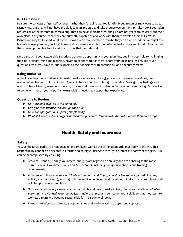#### Girl Led, Con't.

Be sure the concept of "girl led" extends further than "the girls wanted it." Girl Scout Brownies may want to go to Disneyland, but they will not have the skills to plan, prepare and take themselves on the trip. Take note if your plan requires all of the parents to come along. That can be an indicator that the girls are not yet ready to carry out their own plans. Ask yourself what they are currently capable of and work with them to develop their skills. While Disneyland may be beyond what those Brownies can realistically do, maybe they can plan an indoor overnight at a leader's house, planning, packing, thinking about meals, and choosing what activities they want to do. This will help them develop their leadership skills and grow their confidence!

Lift up the Girl Scout Leadership Experience at every opportunity in your planning, but limit your role to facilitating the girls' brainstorming and planning, never doing the work for them. Share your ideas and insight, ask tough questions when you have to, and support all their decisions with enthusiasm and encouragement!

#### Being Inclusive

An inclusive trip is one that was planned to make everyone, including girls who experience disabilities, feel welcome! In planning, put the girl first. Every girl has something to bring to the table. Every girl has feelings and wants to have friends, learn new things, go places and have fun. It's also perfectly acceptable for a girl's caregiver to come with her on your trips if an extra adult is needed to support her experience.

#### Questions to Review

- How are girls involved in the planning?
- Can girls lead themselves through their plan?
- How does progression impact your planning?
- What skills and abilities do girls independently need to demonstrate that will indicate they are ready?

### Health, Safety and Insurance

#### Safety

You, as the adult leader, are responsible for complying with all the safety standards that apply to the trip. This responsibility cannot be delegated. All forms and safety guidelines are truly to protect the safety of the girls. This can be accomplished by ensuring:

- Leaders, Friends & Family Volunteers, and girls are registered annually and are adhering to the most current Council Volunteer Policies and Procedures (including background checks and training requirements).
- Adherence to the guidelines in *Volunteer Essentials* and *Safety Activity Checkpoints* (girl-adult ratios, activity standards, etc.); working with the service unit event and travel coordinator to ensure following all policies, procedures and laws.
- Girls are taught safety awareness, first aid skills and how to make activity decisions based on *Volunteer* Essentials and Council Volunteer Policies and Procedures and self-government skills so that they learn to work as a team and become responsible for their own well-being.
- Parents are informed of troop/group activities and are involved in troop/group support.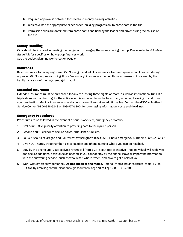- Required approval is obtained for travel and money-earning activities.
- Girls have had the appropriate experiences, building progression, to participate in the trip.
- Permission slips are obtained from participants and held by the leader and driver during the course of the trip.

#### Money Handling

Girls should be involved in creating the budget and managing the money during the trip. Please refer to Volunteer Essentials for specifics on how group finances work.

See the budget planning worksheet on Page 6.

#### **Insurance**

Basic insurance for every registered Girl Scout girl and adult is insurance to cover injuries (not illnesses) during approved Girl Scout programming. It is a "secondary" insurance, covering those expenses not covered by the family insurance of the registered girl or adult.

#### Extended Insurance

Extended insurance must be purchased for any trip lasting three nights or more, as well as international trips. If a trip lasts more than two nights, the entire event is excluded from the basic plan, including traveling to and from your destination. Medical insurance is available to cover illness at an additional fee. Contact the GSOSW Portland Service Center (1-800-338-5248 or 503-977-6800) for purchasing information, costs and deadlines.

#### Emergency Procedures

Procedures to be followed in the event of a serious accident, emergency or fatality:

- 1. First adult Give priority attention to providing care to the injured person.
- 2. Second adult Call 911 to secure police, ambulance, fire, etc.
- 3. Call Girl Scouts of Oregon and Southwest Washington's (GSOSW) 24-hour emergency number: 1-800-626-6543
- 4. Give YOUR name, troop number, exact location and phone number where you can be reached.
- 5. Stay by the phone until you receive a return call from a Girl Scout representative. That individual will guide you and secure additional assistance as needed. If you cannot stay by the phone, leave all important information with the answering service (such as who, what, where, when, and how to get a hold of you).
- 6. Work with emergency personnel. **Do not speak to the media.** Refer all media inquiries (press, radio, TV) to GSOSW by emailing communications@girlscoutsosw.org and calling 1-800-338-5248.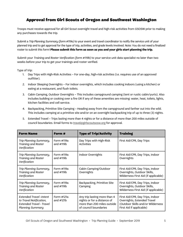## Approval from Girl Scouts of Oregon and Southwest Washington

Troops must receive approval for all Girl Scout overnight travel and high-risk activities from GSOSW prior to making any purchases towards the trip.

Submit a Trip Planning Summary (form #119a) to your event and travel coordinator to notify the service unit of your planned trip and to get approval for the type of trip, activities, and grade levels involved. Note: You do not need a finalized roster to submit this form! **Please submit this form as soon as you and your girls start planning the trip.** 

Submit your Training and Roster Verification (form #119b) to your service unit data specialist no later than two weeks before your trip to get your trainings and roster verified.

Type of trip:

- 1. Day Trips with High-Risk Activities For one-day, high-risk activities (i.e. requires use of an approved outfitter).
- 2. Indoor Sleeping Overnights For indoor overnights, which includes cooking indoors (using a kitchen) or eating at a restaurant, and flush toilets.
- 3. Cabin Camping, Outdoor Overnights This includes campground camping (tent or rustic cabin/yurts). Also includes building or cooking over a fire OR if any of these amenities are missing: water, heat, toilets, lights, kitchen facilities and cell service.
- 4. Backpacking, Primitive Site Camping Heading away from the campground and farther out into the wild. This includes camping at a primitive site and/or on an overnight backpacking trip of up to three (3) nights.
- 5. Extended Travel Trips lasting more than 4 nights or for a distance of more than 200 miles outside of council boundaries. Email forms to travel@girlscoutsosw.org for approval.

| <b>Form Name</b>                                                                                                | Form #                     | <b>Type of Trip/Activity</b>                                                                                        | <b>Training</b>                                                                                                                  |
|-----------------------------------------------------------------------------------------------------------------|----------------------------|---------------------------------------------------------------------------------------------------------------------|----------------------------------------------------------------------------------------------------------------------------------|
| Trip Planning Summary,<br><b>Training and Roster</b><br>Verification                                            | Form #119a<br>and $\#119b$ | Day Trips with High-Risk<br><b>Activities</b>                                                                       | First Aid/CPR, Day Trips                                                                                                         |
| Trip Planning Summary,<br><b>Training and Roster</b><br>Verification                                            | Form #119a<br>and $\#119b$ | Indoor Overnights                                                                                                   | First Aid/CPR, Day Trips, Indoor<br>Overnights                                                                                   |
| Trip Planning Summary,<br><b>Training and Roster</b><br>Verification                                            | Form #119a<br>and $\#119b$ | Cabin Camping/Outdoor<br>Overnights                                                                                 | First Aid/CPR, Day Trips, Indoor<br>Overnights, Outdoor Skills,<br>Wilderness First Aid (if applicable)                          |
| Trip Planning Summary,<br><b>Training and Roster</b><br>Verification                                            | Form #119a<br>and #119b    | Backpacking, Primitive Site<br>Camping                                                                              | First Aid/CPR, Day Trips, Indoor<br>Overnights, Outdoor Skills,<br>Wilderness First Aid (if applicable)                          |
| <b>Extended Travel-Intent</b><br>to Travel Notification,<br><b>Extended Travel - Travel</b><br>Planning Summary | Form #121a<br>and $\#121b$ | Any trip lasting more than 4<br>nights or for a distance of<br>more than 200 miles outside<br>of council boundaries | First Aid/CPR, Day Trips, Indoor<br>Overnights, Extended Travel<br>(Outdoor Skills and/or Wilderness<br>First Aid if applicable) |